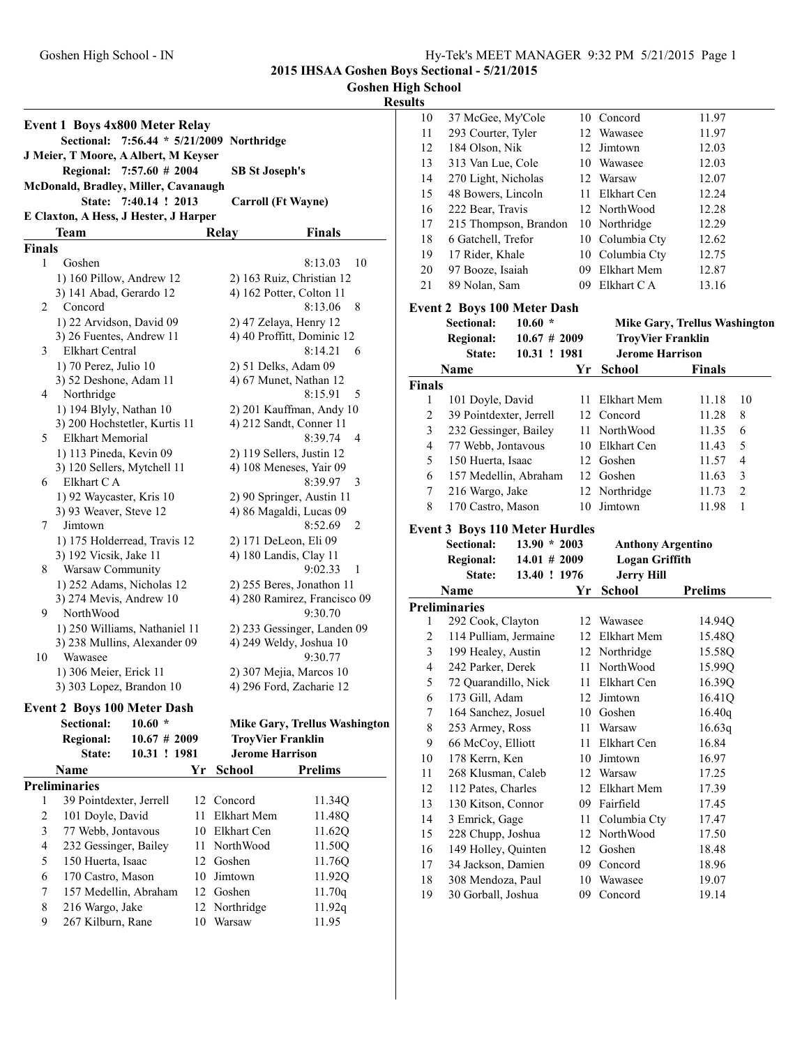| <b>Goshen High School</b> |  |
|---------------------------|--|
|                           |  |

|                         | Event 1 Boys 4x800 Meter Relay                      |                   |    |                                |                                                       |
|-------------------------|-----------------------------------------------------|-------------------|----|--------------------------------|-------------------------------------------------------|
|                         | <b>Sectional:</b>                                   |                   |    | 7:56.44 * 5/21/2009 Northridge |                                                       |
|                         | J Meier, T Moore, A Albert, M Keyser                |                   |    |                                |                                                       |
|                         | <b>Regional:</b>                                    | $7:57.60 \# 2004$ |    | <b>SB St Joseph's</b>          |                                                       |
|                         | McDonald, Bradley, Miller, Cavanaugh                |                   |    |                                |                                                       |
|                         | State:                                              | 7:40.14 ! 2013    |    |                                | <b>Carroll (Ft Wayne)</b>                             |
|                         | E Claxton, A Hess, J Hester, J Harper               |                   |    |                                |                                                       |
|                         | Team                                                |                   |    | Relay                          | <b>Finals</b>                                         |
| <b>Finals</b>           |                                                     |                   |    |                                |                                                       |
| 1                       | Goshen                                              |                   |    |                                | 8:13.03<br>10                                         |
|                         | 1) 160 Pillow, Andrew 12<br>3) 141 Abad, Gerardo 12 |                   |    |                                | 2) 163 Ruiz, Christian 12<br>4) 162 Potter, Colton 11 |
| 2                       | Concord                                             |                   |    |                                | 8:13.06<br>8                                          |
|                         | 1) 22 Arvidson, David 09                            |                   |    |                                | 2) 47 Zelaya, Henry 12                                |
|                         | 3) 26 Fuentes, Andrew 11                            |                   |    |                                | 4) 40 Proffitt, Dominic 12                            |
| 3                       | Elkhart Central                                     |                   |    |                                | 8:14.21<br>6                                          |
|                         | 1) 70 Perez, Julio 10                               |                   |    |                                | 2) 51 Delks, Adam 09                                  |
|                         | 3) 52 Deshone, Adam 11                              |                   |    |                                | 4) 67 Munet, Nathan 12                                |
| 4                       | Northridge                                          |                   |    |                                | 8:15.91<br>5                                          |
|                         | 1) 194 Blyly, Nathan 10                             |                   |    |                                | 2) 201 Kauffman, Andy 10                              |
|                         | 3) 200 Hochstetler, Kurtis 11                       |                   |    |                                | 4) 212 Sandt, Conner 11                               |
| 5                       | Elkhart Memorial                                    |                   |    |                                | 8:39.74<br>4                                          |
|                         | 1) 113 Pineda, Kevin 09                             |                   |    |                                | 2) 119 Sellers, Justin 12                             |
|                         | 3) 120 Sellers, Mytchell 11                         |                   |    |                                | 4) 108 Meneses, Yair 09                               |
| 6                       | Elkhart C A                                         |                   |    |                                | 8:39.97<br>3                                          |
|                         | 1) 92 Waycaster, Kris 10                            |                   |    |                                | 2) 90 Springer, Austin 11                             |
|                         | 3) 93 Weaver, Steve 12                              |                   |    |                                | 4) 86 Magaldi, Lucas 09                               |
| 7                       | Jimtown                                             |                   |    |                                | 8:52.69<br>2                                          |
|                         | 1) 175 Holderread, Travis 12                        |                   |    |                                | 2) 171 DeLeon, Eli 09                                 |
|                         | 3) 192 Vicsik, Jake 11                              |                   |    |                                | 4) 180 Landis, Clay 11                                |
| 8                       | Warsaw Community                                    |                   |    |                                | 9:02.33<br>1                                          |
|                         | 1) 252 Adams, Nicholas 12                           |                   |    |                                | 2) 255 Beres, Jonathon 11                             |
|                         | 3) 274 Mevis, Andrew 10                             |                   |    |                                | 4) 280 Ramirez, Francisco 09                          |
| 9                       | NorthWood                                           |                   |    |                                | 9:30.70                                               |
|                         | 1) 250 Williams, Nathaniel 11                       |                   |    |                                | 2) 233 Gessinger, Landen 09                           |
|                         | 3) 238 Mullins, Alexander 09                        |                   |    |                                | 4) 249 Weldy, Joshua 10                               |
| 10                      | Wawasee                                             |                   |    |                                | 9:30.77                                               |
|                         | 1) 306 Meier, Erick 11                              |                   |    |                                | 2) 307 Mejia, Marcos 10                               |
|                         | 3) 303 Lopez, Brandon 10                            |                   |    |                                | 4) 296 Ford, Zacharie 12                              |
|                         | <b>Event 2 Boys 100 Meter Dash</b>                  |                   |    |                                |                                                       |
|                         | <b>Sectional:</b>                                   | $10.60*$          |    |                                | <b>Mike Gary, Trellus Washington</b>                  |
|                         | <b>Regional:</b>                                    | 10.67 # 2009      |    |                                | <b>TroyVier Franklin</b>                              |
|                         | State:                                              | 10.31 ! 1981      |    | <b>Jerome Harrison</b>         |                                                       |
|                         | Name                                                |                   | Yr | <b>School</b>                  | <b>Prelims</b>                                        |
|                         | <b>Preliminaries</b>                                |                   |    |                                |                                                       |
| 1                       | 39 Pointdexter, Jerrell                             |                   | 12 | Concord                        | 11.34Q                                                |
| $\overline{\mathbf{c}}$ | 101 Doyle, David                                    |                   | 11 | Elkhart Mem                    | 11.48Q                                                |
| 3                       | 77 Webb, Jontavous                                  |                   | 10 | Elkhart Cen                    | 11.62Q                                                |
| $\overline{4}$          | 232 Gessinger, Bailey                               |                   | 11 | NorthWood                      | 11.50Q                                                |
| 5                       | 150 Huerta, Isaac                                   |                   | 12 | Goshen                         | 11.76Q                                                |
| 6                       | 170 Castro, Mason                                   |                   | 10 | Jimtown                        | 11.92Q                                                |
| $\boldsymbol{7}$        | 157 Medellin, Abraham                               |                   |    | 12 Goshen                      | 11.70q                                                |
| 8                       | 216 Wargo, Jake                                     |                   | 12 | Northridge                     | 11.92q                                                |
| 9                       | 267 Kilburn, Rane                                   |                   | 10 | Warsaw                         | 11.95                                                 |

| 10                       | 37 McGee, My'Cole                       |          | 10 Concord               | 11.97                                |
|--------------------------|-----------------------------------------|----------|--------------------------|--------------------------------------|
| 11                       | 293 Courter, Tyler                      |          | 12 Wawasee               | 11.97                                |
| 12                       | 184 Olson, Nik                          |          | 12 Jimtown               | 12.03                                |
| 13                       | 313 Van Lue, Cole                       |          | 10 Wawasee               | 12.03                                |
| 14                       | 270 Light, Nicholas                     |          | 12 Warsaw                | 12.07                                |
| 15                       | 48 Bowers, Lincoln                      |          | 11 Elkhart Cen           | 12.24                                |
| 16                       | 222 Bear, Travis                        |          | 12 NorthWood             | 12.28                                |
| 17                       | 215 Thompson, Brandon                   |          | 10 Northridge            | 12.29                                |
| 18                       | 6 Gatchell, Trefor                      |          | 10 Columbia Cty          | 12.62                                |
| 19                       | 17 Rider, Khale                         |          | 10 Columbia Cty          | 12.75                                |
| 20                       | 97 Booze, Isaiah                        |          | 09 Elkhart Mem           | 12.87                                |
| 21                       | 89 Nolan, Sam                           | 09       | Elkhart C A              | 13.16                                |
|                          | <b>Event 2 Boys 100 Meter Dash</b>      |          |                          |                                      |
|                          | <b>Sectional:</b><br>$10.60*$           |          |                          | <b>Mike Gary, Trellus Washington</b> |
|                          | <b>Regional:</b><br>10.67 # 2009        |          | <b>TroyVier Franklin</b> |                                      |
|                          | State:<br>10.31 ! 1981                  |          | <b>Jerome Harrison</b>   |                                      |
|                          | Name                                    | Yr       |                          | <b>Finals</b>                        |
| <b>Finals</b>            |                                         |          | School                   |                                      |
| 1                        | 101 Doyle, David                        | 11       | Elkhart Mem              | 11.18<br>10                          |
| $\overline{c}$           | 39 Pointdexter, Jerrell                 |          | 12 Concord               | 11.28<br>8                           |
| 3                        | 232 Gessinger, Bailey                   |          | 11 NorthWood             | 11.35<br>6                           |
| $\overline{4}$           | 77 Webb, Jontavous                      |          | 10 Elkhart Cen           | 5<br>11.43                           |
| 5                        | 150 Huerta, Isaac                       |          | 12 Goshen                | 4                                    |
| 6                        | 157 Medellin, Abraham                   |          | 12 Goshen                | 11.57<br>11.63<br>3                  |
| 7                        | 216 Wargo, Jake                         |          | 12 Northridge            | $\boldsymbol{2}$<br>11.73            |
|                          |                                         |          |                          |                                      |
|                          |                                         |          |                          |                                      |
| 8                        | 170 Castro, Mason                       | 10       | Jimtown                  | 1<br>11.98                           |
|                          | <b>Event 3 Boys 110 Meter Hurdles</b>   |          |                          |                                      |
|                          | <b>Sectional:</b><br>$13.90 * 2003$     |          | <b>Anthony Argentino</b> |                                      |
|                          | $14.01 \# 2009$<br><b>Regional:</b>     |          | <b>Logan Griffith</b>    |                                      |
|                          | 13.40 ! 1976<br>State:                  |          | <b>Jerry Hill</b>        |                                      |
|                          | Name                                    | Yr       | <b>School</b>            | <b>Prelims</b>                       |
|                          | <b>Preliminaries</b>                    |          |                          |                                      |
| 1                        | 292 Cook, Clayton                       |          | 12 Wawasee               | 14.94Q                               |
| 2                        | 114 Pulliam, Jermaine                   |          | 12 Elkhart Mem           | 15.48Q                               |
| 3                        | 199 Healey, Austin                      |          | 12 Northridge            | 15.58Q                               |
| $\overline{\mathcal{L}}$ | 242 Parker, Derek                       | 11       | NorthWood                | 15.99Q                               |
| 5                        | 72 Quarandillo, Nick                    | 11 -     | Elkhart Cen              | 16.39Q                               |
| 6                        | 173 Gill, Adam                          | 12       | Jimtown                  | 16.41Q                               |
| 7                        | 164 Sanchez, Josuel                     |          | 10 Goshen                | 16.40q                               |
| 8                        | 253 Armey, Ross                         | 11       | Warsaw                   | 16.63q                               |
| 9                        | 66 McCoy, Elliott                       | 11       | Elkhart Cen              | 16.84                                |
| $10\,$                   | 178 Kerrn, Ken                          | 10       | Jimtown                  | 16.97                                |
| 11                       | 268 Klusman, Caleb                      |          | 12 Warsaw                | 17.25                                |
| 12                       | 112 Pates, Charles                      | 12       | Elkhart Mem              | 17.39                                |
| 13                       | 130 Kitson, Connor                      | 09       | Fairfield                | 17.45                                |
| 14                       | 3 Emrick, Gage                          | 11       | Columbia Cty             | 17.47                                |
| 15                       | 228 Chupp, Joshua                       | 12       | NorthWood                | 17.50                                |
| 16                       | 149 Holley, Quinten                     | 12       | Goshen                   | 18.48                                |
| 17                       | 34 Jackson, Damien                      | 09       | Concord                  | 18.96                                |
| 18<br>19                 | 308 Mendoza, Paul<br>30 Gorball, Joshua | 10<br>09 | Wawasee<br>Concord       | 19.07<br>19.14                       |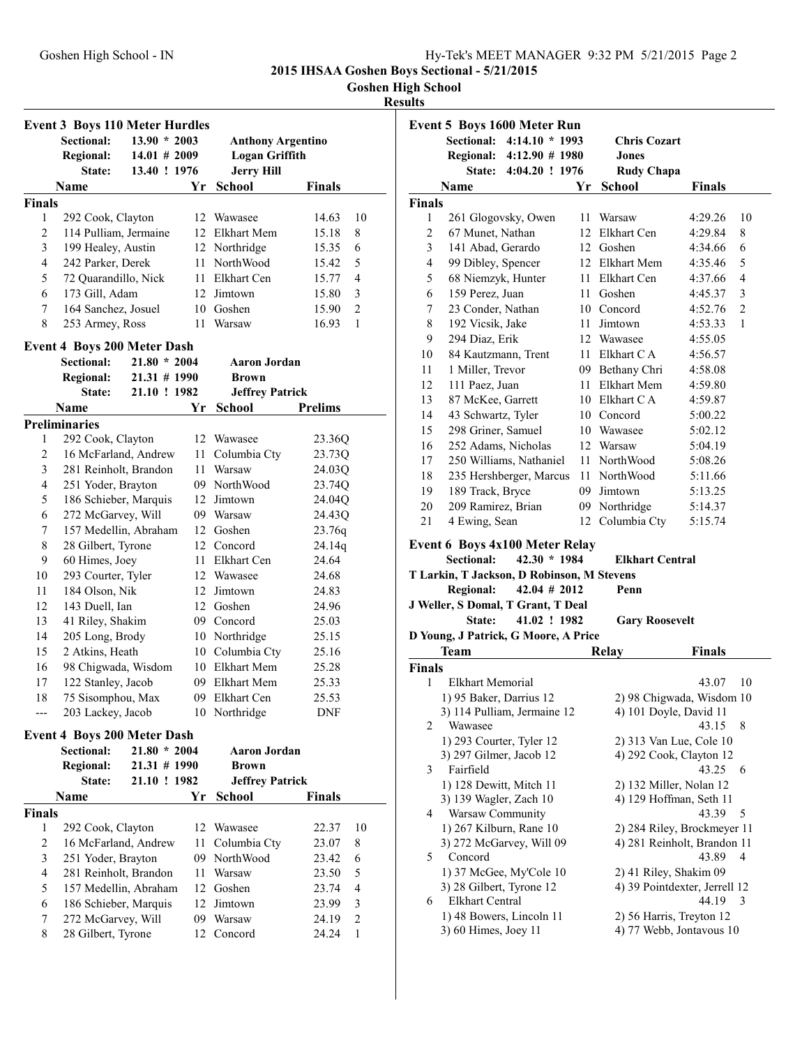**Goshen High School**

|                          | <b>Event 3 Boys 110 Meter Hurdles</b>          |                 |    |                           |                          |
|--------------------------|------------------------------------------------|-----------------|----|---------------------------|--------------------------|
|                          | <b>Sectional:</b>                              | $13.90 * 2003$  |    | <b>Anthony Argentino</b>  |                          |
|                          | <b>Regional:</b>                               | $14.01 \# 2009$ |    | <b>Logan Griffith</b>     |                          |
|                          | State:                                         | 13.40 ! 1976    |    | <b>Jerry Hill</b>         |                          |
|                          | Name                                           |                 | Yr | <b>School</b>             | <b>Finals</b>            |
| <b>Finals</b>            |                                                |                 |    |                           |                          |
| 1                        | 292 Cook, Clayton                              |                 |    | 12 Wawasee                | 14.63<br>10              |
| $\overline{2}$           | 114 Pulliam, Jermaine                          |                 |    | 12 Elkhart Mem            | 15.18<br>8               |
| 3                        | 199 Healey, Austin                             |                 |    | 12 Northridge             | 6<br>15.35               |
| $\overline{\mathcal{L}}$ | 242 Parker, Derek                              |                 |    | 11 NorthWood              | 5<br>15.42               |
| 5                        | 72 Quarandillo, Nick                           |                 |    | 11 Elkhart Cen            | 15.77<br>4               |
| 6                        | 173 Gill, Adam                                 |                 |    | 12 Jimtown                | 3<br>15.80               |
| 7                        | 164 Sanchez, Josuel                            |                 |    | 10 Goshen                 | 15.90<br>2               |
| 8                        | 253 Armey, Ross                                |                 | 11 | Warsaw                    | 16.93<br>1               |
|                          | <b>Event 4 Boys 200 Meter Dash</b>             |                 |    |                           |                          |
|                          | Sectional:                                     | $21.80 * 2004$  |    | <b>Aaron Jordan</b>       |                          |
|                          | <b>Regional:</b>                               | $21.31 \# 1990$ |    | <b>Brown</b>              |                          |
|                          | State:                                         | 21.10 ! 1982    |    | <b>Jeffrey Patrick</b>    |                          |
|                          | Name                                           |                 | Yr | School                    | <b>Prelims</b>           |
|                          | <b>Preliminaries</b>                           |                 |    |                           |                          |
| 1                        | 292 Cook, Clayton                              |                 |    | 12 Wawasee                | 23.36Q                   |
| 2                        | 16 McFarland, Andrew                           |                 |    | 11 Columbia Cty           | 23.73Q                   |
| 3                        | 281 Reinholt, Brandon                          |                 |    | 11 Warsaw                 | 24.03Q                   |
| 4                        | 251 Yoder, Brayton                             |                 |    | 09 NorthWood              | 23.74Q                   |
| 5                        | 186 Schieber, Marquis                          |                 |    | 12 Jimtown                | 24.04Q                   |
| 6                        | 272 McGarvey, Will                             |                 |    | 09 Warsaw                 | 24.43Q                   |
| 7                        | 157 Medellin, Abraham                          |                 |    | 12 Goshen                 | 23.76q                   |
| 8                        | 28 Gilbert, Tyrone                             |                 |    | 12 Concord                | 24.14q                   |
| 9                        | 60 Himes, Joey                                 |                 |    | 11 Elkhart Cen            | 24.64                    |
| 10                       | 293 Courter, Tyler                             |                 |    | 12 Wawasee                | 24.68                    |
| 11                       | 184 Olson, Nik                                 |                 |    | 12 Jimtown                | 24.83                    |
| 12                       | 143 Duell, Ian                                 |                 |    | 12 Goshen                 | 24.96                    |
| 13                       | 41 Riley, Shakim                               |                 |    | 09 Concord                | 25.03                    |
| 14                       | 205 Long, Brody                                |                 |    | 10 Northridge             | 25.15                    |
| 15                       | 2 Atkins, Heath                                |                 |    | 10 Columbia Cty           | 25.16                    |
| 16                       | 98 Chigwada, Wisdom                            |                 |    | 10 Elkhart Mem            | 25.28                    |
| 17                       | 122 Stanley, Jacob                             |                 |    | 09 Elkhart Mem            | 25.33                    |
| 18                       | 75 Sisomphou, Max                              |                 |    | 09 Elkhart Cen            | 25.53                    |
|                          | 203 Lackey, Jacob                              |                 |    | 10 Northridge             | DNF                      |
|                          | <b>Event 4 Boys 200 Meter Dash</b>             |                 |    |                           |                          |
|                          | Sectional:                                     | $21.80 * 2004$  |    | <b>Aaron Jordan</b>       |                          |
|                          | <b>Regional:</b>                               | $21.31 \# 1990$ |    | <b>Brown</b>              |                          |
|                          | State:                                         | 21.10 ! 1982    |    | <b>Jeffrey Patrick</b>    |                          |
|                          | Name                                           |                 | Yr | <b>School</b>             | <b>Finals</b>            |
| <b>Finals</b>            |                                                |                 |    |                           |                          |
| 1<br>$\mathbf{2}$        | 292 Cook, Clayton                              |                 |    | 12 Wawasee                | 10<br>22.37              |
| 3                        | 16 McFarland, Andrew<br>251 Yoder, Brayton     |                 | 11 | Columbia Cty              | 8<br>23.07               |
| $\overline{\mathcal{L}}$ |                                                |                 |    | 09 NorthWood<br>11 Warsaw | 6<br>23.42<br>23.50<br>5 |
| 5                        | 281 Reinholt, Brandon<br>157 Medellin, Abraham |                 |    | 12 Goshen                 | 23.74<br>4               |
| 6                        | 186 Schieber, Marquis                          |                 |    | 12 Jimtown                | 23.99<br>3               |
| 7                        | 272 McGarvey, Will                             |                 |    | 09 Warsaw                 | 24.19<br>2               |
| 8                        | 28 Gilbert, Tyrone                             |                 |    | 12 Concord                | 24.24<br>$\mathbf{1}$    |
|                          |                                                |                 |    |                           |                          |

|                |                                                   | Event 5 Boys 1600 Meter Run                                                                                       |    |                                |                                  |
|----------------|---------------------------------------------------|-------------------------------------------------------------------------------------------------------------------|----|--------------------------------|----------------------------------|
|                | Sectional:                                        | $4:14.10 * 1993$                                                                                                  |    | <b>Chris Cozart</b>            |                                  |
|                |                                                   | Regional: 4:12.90 # 1980                                                                                          |    | Jones                          |                                  |
|                | State:                                            | 4:04.20 ! 1976                                                                                                    |    | <b>Rudy Chapa</b>              |                                  |
|                | Name                                              |                                                                                                                   | Yr | <b>School</b>                  | <b>Finals</b>                    |
| <b>Finals</b>  |                                                   |                                                                                                                   |    |                                |                                  |
| 1              |                                                   | 261 Glogovsky, Owen                                                                                               |    | 11 Warsaw                      | 4:29.26<br>10                    |
| $\overline{c}$ | 67 Munet, Nathan                                  |                                                                                                                   |    | 12 Elkhart Cen                 | 4:29.84<br>8                     |
| 3              | 141 Abad, Gerardo                                 |                                                                                                                   |    | 12 Goshen                      | 4:34.66<br>6                     |
| 4              | 99 Dibley, Spencer                                |                                                                                                                   |    | 12 Elkhart Mem                 | 4:35.46<br>5                     |
| 5              | 68 Niemzyk, Hunter                                |                                                                                                                   |    | 11 Elkhart Cen                 | 4:37.66<br>4                     |
| 6              | 159 Perez, Juan                                   |                                                                                                                   |    | 11 Goshen                      | 3<br>4:45.37                     |
| 7              | 23 Conder, Nathan                                 |                                                                                                                   |    | 10 Concord                     | 4:52.76<br>2                     |
| 8              | 192 Vicsik, Jake                                  |                                                                                                                   |    | 11 Jimtown                     | 4:53.33<br>1                     |
| 9              | 294 Diaz, Erik                                    |                                                                                                                   |    | 12 Wawasee                     | 4:55.05                          |
| 10             |                                                   | 84 Kautzmann, Trent                                                                                               |    | 11 Elkhart CA                  | 4:56.57                          |
| 11             | 1 Miller, Trevor                                  |                                                                                                                   |    | 09 Bethany Chri                | 4:58.08                          |
| 12             | 111 Paez, Juan                                    |                                                                                                                   |    | 11 Elkhart Mem                 | 4:59.80                          |
| 13             | 87 McKee, Garrett                                 |                                                                                                                   |    | 10 Elkhart CA                  | 4:59.87                          |
| 14             | 43 Schwartz, Tyler                                |                                                                                                                   |    | 10 Concord                     | 5:00.22                          |
| 15             | 298 Griner, Samuel                                |                                                                                                                   |    | 10 Wawasee                     | 5:02.12                          |
| 16             |                                                   | 252 Adams, Nicholas                                                                                               |    | 12 Warsaw                      | 5:04.19                          |
| 17             |                                                   | 250 Williams, Nathaniel                                                                                           |    | 11 NorthWood                   | 5:08.26                          |
| 18             |                                                   | 235 Hershberger, Marcus                                                                                           |    | 11 NorthWood                   | 5:11.66                          |
| 19             | 189 Track, Bryce                                  |                                                                                                                   |    | 09 Jimtown                     | 5:13.25                          |
| 20             | 209 Ramirez, Brian                                |                                                                                                                   |    | 09 Northridge                  | 5:14.37                          |
| 21             | 4 Ewing, Sean                                     |                                                                                                                   |    | 12 Columbia Cty                | 5:15.74                          |
|                | <b>Sectional:</b><br><b>Regional:</b>             | Event 6 Boys 4x100 Meter Relay<br>$42.30 * 1984$<br>T Larkin, T Jackson, D Robinson, M Stevens<br>$42.04 \# 2012$ |    | <b>Elkhart Central</b><br>Penn |                                  |
|                |                                                   | J Weller, S Domal, T Grant, T Deal                                                                                |    |                                |                                  |
|                | <b>State:</b>                                     | 41.02 ! 1982                                                                                                      |    | <b>Gary Roosevelt</b>          |                                  |
|                |                                                   | D Young, J Patrick, G Moore, A Price                                                                              |    |                                |                                  |
|                | <b>Team</b>                                       |                                                                                                                   |    | Relay                          | Finals                           |
| <b>Finals</b>  |                                                   |                                                                                                                   |    |                                |                                  |
| 1              | <b>Elkhart Memorial</b>                           |                                                                                                                   |    |                                | 43.07<br>10                      |
|                | 1) 95 Baker, Darrius 12                           |                                                                                                                   |    |                                | 2) 98 Chigwada, Wisdom 10        |
|                |                                                   | 3) 114 Pulliam, Jermaine 12                                                                                       |    | 4) 101 Doyle, David 11         |                                  |
| 2              | Wawasee                                           |                                                                                                                   |    |                                | 43.15<br>8                       |
|                | 1) 293 Courter, Tyler 12                          |                                                                                                                   |    |                                | 2) 313 Van Lue, Cole 10          |
|                | 3) 297 Gilmer, Jacob 12                           |                                                                                                                   |    |                                | 4) 292 Cook, Clayton 12<br>43.25 |
| 3              | Fairfield                                         |                                                                                                                   |    | 2) 132 Miller, Nolan 12        | 6                                |
|                | 1) 128 Dewitt, Mitch 11<br>3) 139 Wagler, Zach 10 |                                                                                                                   |    |                                | 4) 129 Hoffman, Seth 11          |
| 4              | Warsaw Community                                  |                                                                                                                   |    |                                | 43.39<br>5                       |
|                |                                                   | 1) 267 Kilburn, Rane 10                                                                                           |    |                                | 2) 284 Riley, Brockmeyer 11      |
|                |                                                   | 3) 272 McGarvey, Will 09                                                                                          |    |                                | 4) 281 Reinholt, Brandon 11      |
| 5              | Concord                                           |                                                                                                                   |    |                                | 43.89<br>4                       |
|                |                                                   | 1) 37 McGee, My'Cole 10                                                                                           |    | 2) 41 Riley, Shakim 09         |                                  |
|                | 3) 28 Gilbert, Tyrone 12                          |                                                                                                                   |    |                                | 4) 39 Pointdexter, Jerrell 12    |
| 6              | Elkhart Central                                   |                                                                                                                   |    |                                | 44.19<br>3                       |
|                |                                                   | 1) 48 Bowers, Lincoln 11                                                                                          |    | 2) 56 Harris, Treyton 12       |                                  |
|                |                                                   |                                                                                                                   |    | 4) 77 Webb, Jontavous 10       |                                  |
|                | 3) 60 Himes, Joey 11                              |                                                                                                                   |    |                                |                                  |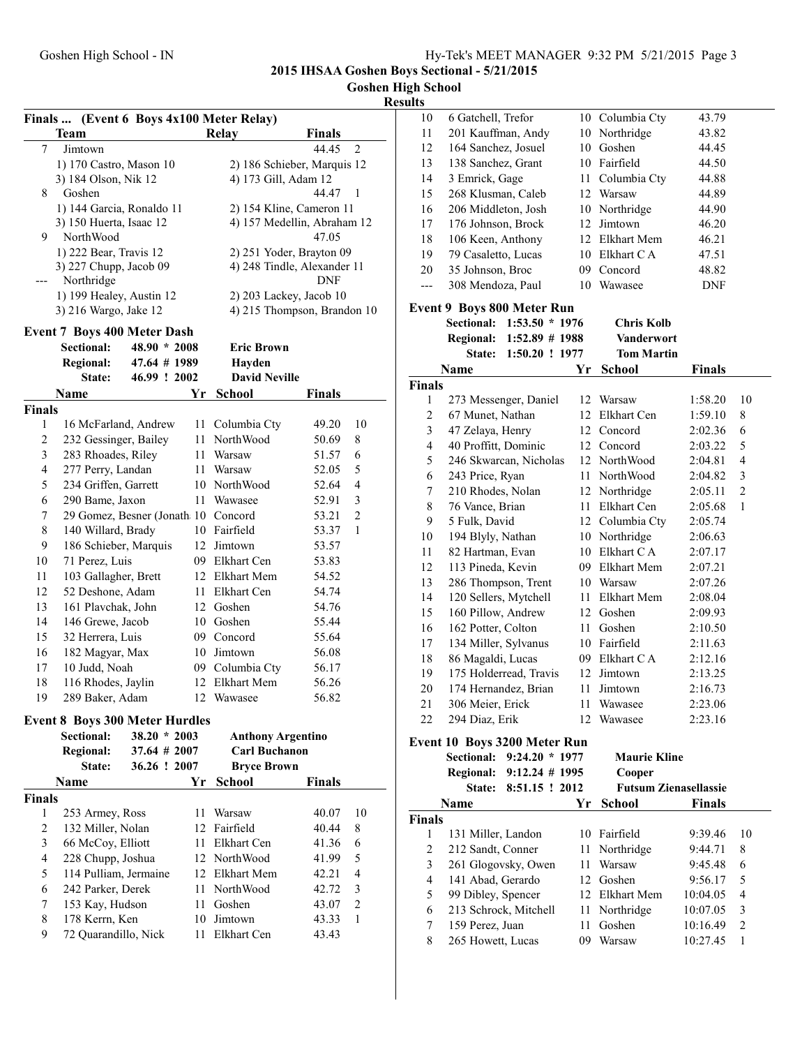#### **Goshen High School**

### **Res**

|                         | Finals  (Event 6 Boys 4x100 Meter Relay) |                 |      |                          |                                           |                |
|-------------------------|------------------------------------------|-----------------|------|--------------------------|-------------------------------------------|----------------|
|                         | <b>Team</b>                              |                 |      | Relay                    | Finals                                    |                |
| 7                       | Jimtown                                  |                 |      |                          | 44.45                                     | 2              |
|                         | 1) 170 Castro, Mason 10                  |                 |      |                          | 2) 186 Schieber, Marquis 12               |                |
|                         | 3) 184 Olson, Nik 12                     |                 |      | 4) 173 Gill, Adam 12     |                                           |                |
| 8                       | Goshen                                   |                 |      |                          | 44.47                                     | 1              |
|                         | 1) 144 Garcia, Ronaldo 11                |                 |      |                          | 2) 154 Kline, Cameron 11                  |                |
|                         | 3) 150 Huerta, Isaac 12                  |                 |      |                          | 4) 157 Medellin, Abraham 12               |                |
| 9                       | NorthWood                                |                 |      |                          | 47.05                                     |                |
|                         | 1) 222 Bear, Travis 12                   |                 |      |                          | 2) 251 Yoder, Brayton 09                  |                |
|                         | 3) 227 Chupp, Jacob 09<br>Northridge     |                 |      |                          | 4) 248 Tindle, Alexander 11<br><b>DNF</b> |                |
|                         | 1) 199 Healey, Austin 12                 |                 |      |                          | 2) 203 Lackey, Jacob 10                   |                |
|                         | 3) 216 Wargo, Jake 12                    |                 |      |                          | 4) 215 Thompson, Brandon 10               |                |
|                         |                                          |                 |      |                          |                                           |                |
|                         | <b>Event 7 Boys 400 Meter Dash</b>       |                 |      |                          |                                           |                |
|                         | <b>Sectional:</b>                        | $48.90 * 2008$  |      | <b>Eric Brown</b>        |                                           |                |
|                         | <b>Regional:</b>                         | 47.64 # 1989    |      | Hayden                   |                                           |                |
|                         | State:                                   | 46.99 ! 2002    |      | <b>David Neville</b>     |                                           |                |
|                         | Name                                     |                 | Yr   | School                   | Finals                                    |                |
| <b>Finals</b>           |                                          |                 |      |                          |                                           |                |
| 1                       | 16 McFarland, Andrew                     |                 | 11 - | Columbia Cty             | 49.20                                     | 10             |
| 2                       | 232 Gessinger, Bailey                    |                 | 11 - | NorthWood                | 50.69                                     | 8              |
| 3                       | 283 Rhoades, Riley                       |                 |      | 11 Warsaw                | 51.57                                     | 6              |
| 4                       | 277 Perry, Landan                        |                 |      | 11 Warsaw                | 52.05                                     | 5              |
| 5                       | 234 Griffen, Garrett                     |                 |      | 10 NorthWood             | 52.64                                     | 4              |
| 6                       | 290 Bame, Jaxon                          |                 | 11 - | Wawasee                  | 52.91                                     | 3              |
| 7                       | 29 Gomez, Besner (Jonath 10 Concord      |                 |      |                          | 53.21                                     | $\sqrt{2}$     |
| 8                       | 140 Willard, Brady                       |                 |      | 10 Fairfield             | 53.37                                     | 1              |
| 9                       | 186 Schieber, Marquis                    |                 |      | 12 Jimtown               | 53.57                                     |                |
| 10                      | 71 Perez, Luis                           |                 |      | 09 Elkhart Cen           | 53.83                                     |                |
| 11                      | 103 Gallagher, Brett                     |                 |      | 12 Elkhart Mem           | 54.52                                     |                |
| 12                      | 52 Deshone, Adam                         |                 |      | 11 Elkhart Cen           | 54.74                                     |                |
| 13                      | 161 Plavchak, John                       |                 |      | 12 Goshen                | 54.76                                     |                |
| 14                      | 146 Grewe, Jacob                         |                 |      | 10 Goshen                | 55.44                                     |                |
| 15                      | 32 Herrera, Luis                         |                 |      | 09 Concord               | 55.64                                     |                |
| 16                      | 182 Magyar, Max                          |                 |      | 10 Jimtown               | 56.08                                     |                |
| 17                      | 10 Judd, Noah                            |                 |      | 09 Columbia Cty          | 56.17                                     |                |
| 18                      | 116 Rhodes, Jaylin                       |                 |      | 12 Elkhart Mem           | 56.26                                     |                |
| 19                      | 289 Baker, Adam                          |                 |      | 12 Wawasee               | 56.82                                     |                |
|                         |                                          |                 |      |                          |                                           |                |
|                         | <b>Event 8 Boys 300 Meter Hurdles</b>    |                 |      |                          |                                           |                |
|                         | Sectional:                               | $38.20 * 2003$  |      | <b>Anthony Argentino</b> |                                           |                |
|                         | <b>Regional:</b>                         | $37.64 \# 2007$ |      | <b>Carl Buchanon</b>     |                                           |                |
|                         | State:                                   | 36.26 ! 2007    |      | <b>Bryce Brown</b>       |                                           |                |
|                         | Name                                     |                 | Yr   | <b>School</b>            | <b>Finals</b>                             |                |
| <b>Finals</b>           |                                          |                 |      |                          |                                           |                |
| 1                       | 253 Armey, Ross                          |                 | 11 - | Warsaw                   | 40.07                                     | 10             |
| $\overline{c}$          | 132 Miller, Nolan                        |                 |      | 12 Fairfield             | 40.44                                     | 8              |
| 3                       | 66 McCoy, Elliott                        |                 |      | 11 Elkhart Cen           | 41.36                                     | 6              |
| $\overline{\mathbf{4}}$ | 228 Chupp, Joshua                        |                 |      | 12 NorthWood             | 41.99                                     | 5              |
| 5                       | 114 Pulliam, Jermaine                    |                 |      | 12 Elkhart Mem           | 42.21                                     | $\overline{4}$ |
| 6                       | 242 Parker, Derek                        |                 |      | 11 NorthWood             | 42.72                                     | 3              |
| 7                       | 153 Kay, Hudson                          |                 | 11   | Goshen                   | 43.07                                     | $\sqrt{2}$     |
| 8                       | 178 Kerrn, Ken                           |                 |      | 10 Jimtown               | 43.33                                     | 1              |
| 9                       | 72 Quarandillo, Nick                     |                 | 11   | Elkhart Cen              | 43.43                                     |                |
|                         |                                          |                 |      |                          |                                           |                |

| sults              |                                                                |          |                                  |                    |                     |
|--------------------|----------------------------------------------------------------|----------|----------------------------------|--------------------|---------------------|
| 10                 | 6 Gatchell, Trefor                                             |          | 10 Columbia Cty                  | 43.79              |                     |
| 11                 | 201 Kauffman, Andy                                             | 10       | Northridge                       | 43.82              |                     |
| 12                 | 164 Sanchez, Josuel                                            | 10       | Goshen                           | 44.45              |                     |
| 13                 | 138 Sanchez, Grant                                             |          | 10 Fairfield                     | 44.50              |                     |
| 14                 | 3 Emrick, Gage                                                 | 11       | Columbia Cty                     | 44.88              |                     |
| 15                 | 268 Klusman, Caleb                                             |          | 12 Warsaw                        | 44.89              |                     |
| 16                 | 206 Middleton, Josh                                            |          | 10 Northridge                    | 44.90              |                     |
| 17                 | 176 Johnson, Brock                                             | 12       | Jimtown                          | 46.20              |                     |
| 18                 | 106 Keen, Anthony                                              |          | 12 Elkhart Mem                   | 46.21              |                     |
| 19                 | 79 Casaletto, Lucas                                            |          | 10 Elkhart CA                    | 47.51              |                     |
| 20                 | 35 Johnson, Broc                                               |          | 09 Concord                       | 48.82              |                     |
| $---$              | 308 Mendoza, Paul                                              |          | 10 Wawasee                       | <b>DNF</b>         |                     |
|                    |                                                                |          |                                  |                    |                     |
|                    | <b>Event 9 Boys 800 Meter Run</b><br>$1:53.50 * 1976$          |          |                                  |                    |                     |
|                    | <b>Sectional:</b>                                              |          | <b>Chris Kolb</b><br>Vanderwort  |                    |                     |
|                    | <b>Regional:</b><br>1:52.89 # 1988<br>State:<br>1:50.20 ! 1977 |          | <b>Tom Martin</b>                |                    |                     |
|                    |                                                                |          |                                  |                    |                     |
|                    | Name                                                           | Yr       | <b>School</b>                    | <b>Finals</b>      |                     |
| <b>Finals</b><br>1 | 273 Messenger, Daniel                                          |          | 12 Warsaw                        | 1:58.20            | 10                  |
| $\overline{c}$     | 67 Munet, Nathan                                               |          | 12 Elkhart Cen                   | 1:59.10            | 8                   |
| $\mathfrak{Z}$     | 47 Zelaya, Henry                                               |          | 12 Concord                       |                    | 6                   |
| $\overline{4}$     | 40 Proffitt, Dominic                                           |          |                                  | 2:02.36            |                     |
|                    |                                                                |          | 12 Concord                       | 2:03.22            | 5<br>$\overline{4}$ |
| 5                  | 246 Skwarcan, Nicholas                                         |          | 12 NorthWood<br><b>NorthWood</b> | 2:04.81            |                     |
| 6                  | 243 Price, Ryan                                                | 11-      |                                  | 2:04.82            | 3                   |
| 7                  | 210 Rhodes, Nolan                                              | 12       | Northridge                       | 2:05.11            | $\overline{2}$      |
| 8                  | 76 Vance, Brian                                                | 11       | Elkhart Cen                      | 2:05.68            | 1                   |
| 9                  | 5 Fulk, David                                                  | 12       | Columbia Cty                     | 2:05.74            |                     |
| 10                 | 194 Blyly, Nathan                                              |          | 10 Northridge                    | 2:06.63            |                     |
| 11                 | 82 Hartman, Evan                                               |          | 10 Elkhart CA                    | 2:07.17            |                     |
| 12                 | 113 Pineda, Kevin                                              |          | 09 Elkhart Mem                   | 2:07.21            |                     |
| 13                 | 286 Thompson, Trent                                            |          | 10 Warsaw                        | 2:07.26            |                     |
| 14                 | 120 Sellers, Mytchell                                          | 11-      | Elkhart Mem                      | 2:08.04            |                     |
| 15                 | 160 Pillow, Andrew                                             |          | 12 Goshen                        | 2:09.93            |                     |
| 16                 | 162 Potter, Colton                                             | 11-      | Goshen                           | 2:10.50            |                     |
| 17                 | 134 Miller, Sylvanus                                           |          | 10 Fairfield<br>09 Elkhart CA    | 2:11.63            |                     |
| 18                 | 86 Magaldi, Lucas<br>175 Holderread, Travis                    | 12       | Jimtown                          | 2:12.16<br>2:13.25 |                     |
| 19<br>20           | 174 Hernandez, Brian                                           |          | Jimtown                          | 2:16.73            |                     |
| 21                 |                                                                | 11 -     | Wawasee                          | 2:23.06            |                     |
| 22                 | 306 Meier, Erick<br>294 Diaz, Erik                             | 11<br>12 | Wawasee                          | 2:23.16            |                     |
|                    |                                                                |          |                                  |                    |                     |
|                    | Event 10 Boys 3200 Meter Run                                   |          |                                  |                    |                     |
|                    | Sectional:<br>$9:24.20 * 1977$                                 |          | <b>Maurie Kline</b>              |                    |                     |
|                    | <b>Regional:</b><br>$9:12.24 \# 1995$                          |          | Cooper                           |                    |                     |
|                    | State:<br>8:51.15 ! 2012                                       |          | <b>Futsum Zienasellassie</b>     |                    |                     |
|                    | Name                                                           | Yr       | School                           | <b>Finals</b>      |                     |
| <b>Finals</b>      |                                                                |          |                                  |                    |                     |
| 1                  | 131 Miller, Landon                                             | 10       | Fairfield                        | 9:39.46            | 10                  |
| $\overline{c}$     | 212 Sandt, Conner                                              | 11       | Northridge                       | 9:44.71            | 8                   |
| 3                  | 261 Glogovsky, Owen                                            | 11       | Warsaw                           | 9:45.48            | 6                   |
| 4                  | 141 Abad, Gerardo                                              | 12       | Goshen                           | 9:56.17            | 5                   |
| 5                  | 99 Dibley, Spencer                                             | 12       | Elkhart Mem                      | 10:04.05           | 4                   |
| 6                  | 213 Schrock, Mitchell                                          | 11       | Northridge                       | 10:07.05           | 3                   |
| 7                  | 159 Perez, Juan                                                | 11       | Goshen                           | 10:16.49           | $\overline{c}$      |
| 8                  | 265 Howett, Lucas                                              | 09       | Warsaw                           | 10:27.45           | 1                   |
|                    |                                                                |          |                                  |                    |                     |
|                    |                                                                |          |                                  |                    |                     |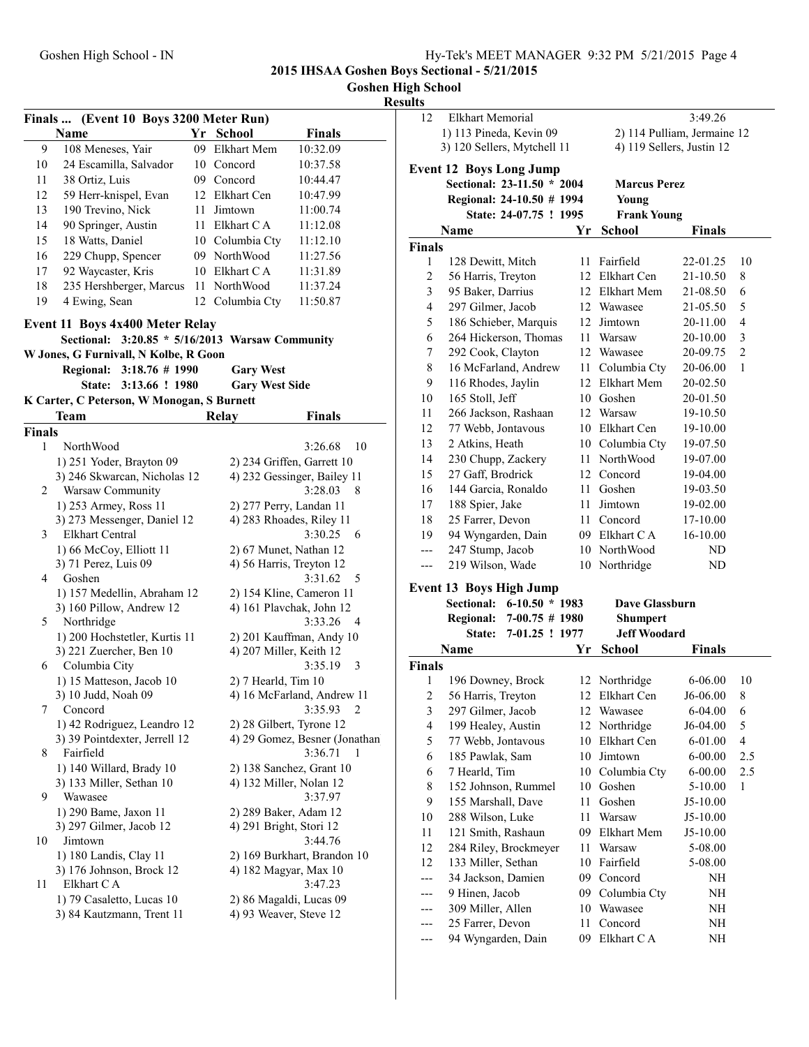#### **Goshen High School**

| Finals  (Event 10 Boys 3200 Meter Run)          |                                                      |    |                                           |                                            |  |  |  |
|-------------------------------------------------|------------------------------------------------------|----|-------------------------------------------|--------------------------------------------|--|--|--|
|                                                 | Name                                                 |    | Yr School                                 | Finals                                     |  |  |  |
| 9                                               | 108 Meneses, Yair                                    | 09 | <b>Elkhart Mem</b>                        | 10:32.09                                   |  |  |  |
| 10                                              | 24 Escamilla, Salvador                               | 10 | Concord                                   | 10:37.58                                   |  |  |  |
| 11                                              | 38 Ortiz, Luis                                       |    | 09 Concord                                | 10:44.47                                   |  |  |  |
| 12                                              | 59 Herr-knispel, Evan                                |    | 12 Elkhart Cen                            | 10:47.99                                   |  |  |  |
| 13                                              | 190 Trevino, Nick                                    | 11 | Jimtown                                   | 11:00.74                                   |  |  |  |
| 14                                              | 90 Springer, Austin                                  |    | 11 Elkhart CA                             | 11:12.08                                   |  |  |  |
| 15                                              | 18 Watts, Daniel                                     |    | 10 Columbia Cty                           | 11:12.10                                   |  |  |  |
| 16                                              | 229 Chupp, Spencer                                   |    | 09 NorthWood                              | 11:27.56                                   |  |  |  |
| 17                                              | 92 Waycaster, Kris                                   |    | 10 Elkhart C A                            | 11:31.89                                   |  |  |  |
| 18                                              | 235 Hershberger, Marcus                              | 11 | NorthWood                                 | 11:37.24                                   |  |  |  |
| 19                                              | 4 Ewing, Sean                                        |    | 12 Columbia Cty                           | 11:50.87                                   |  |  |  |
|                                                 |                                                      |    |                                           |                                            |  |  |  |
| <b>Event 11 Boys 4x400 Meter Relay</b>          |                                                      |    |                                           |                                            |  |  |  |
| Sectional: 3:20.85 * 5/16/2013 Warsaw Community |                                                      |    |                                           |                                            |  |  |  |
|                                                 | W Jones, G Furnivall, N Kolbe, R Goon                |    |                                           |                                            |  |  |  |
|                                                 | Regional: 3:18.76 # 1990<br>State:<br>3:13.66 ! 1980 |    | <b>Gary West</b><br><b>Gary West Side</b> |                                            |  |  |  |
|                                                 | K Carter, C Peterson, W Monogan, S Burnett           |    |                                           |                                            |  |  |  |
|                                                 | Team                                                 |    | Relay                                     | <b>Finals</b>                              |  |  |  |
| <b>Finals</b>                                   |                                                      |    |                                           |                                            |  |  |  |
| 1                                               | <b>NorthWood</b>                                     |    |                                           | 10<br>3:26.68                              |  |  |  |
|                                                 | 1) 251 Yoder, Brayton 09                             |    |                                           | 2) 234 Griffen, Garrett 10                 |  |  |  |
|                                                 | 3) 246 Skwarcan, Nicholas 12                         |    |                                           | 4) 232 Gessinger, Bailey 11                |  |  |  |
| 2                                               | Warsaw Community                                     |    |                                           | 3:28.03<br>8                               |  |  |  |
|                                                 | 1) 253 Armey, Ross 11                                |    | 2) 277 Perry, Landan 11                   |                                            |  |  |  |
|                                                 | 3) 273 Messenger, Daniel 12                          |    |                                           | 4) 283 Rhoades, Riley 11                   |  |  |  |
| 3                                               | <b>Elkhart Central</b>                               |    |                                           | 3:30.25<br>6                               |  |  |  |
|                                                 | 1) 66 McCoy, Elliott 11                              |    | 2) 67 Munet, Nathan 12                    |                                            |  |  |  |
|                                                 | 3) 71 Perez, Luis 09                                 |    |                                           | 4) 56 Harris, Treyton 12                   |  |  |  |
| 4                                               | Goshen                                               |    |                                           | 3:31.62<br>5                               |  |  |  |
|                                                 | 1) 157 Medellin, Abraham 12                          |    |                                           | 2) 154 Kline, Cameron 11                   |  |  |  |
|                                                 | 3) 160 Pillow, Andrew 12                             |    |                                           | 4) 161 Plavchak, John 12                   |  |  |  |
| 5                                               | Northridge                                           |    |                                           | 3:33.26<br>$\overline{4}$                  |  |  |  |
|                                                 | 1) 200 Hochstetler, Kurtis 11                        |    |                                           | 2) 201 Kauffman, Andy 10                   |  |  |  |
|                                                 | 3) 221 Zuercher, Ben 10                              |    | 4) 207 Miller, Keith 12                   |                                            |  |  |  |
| 6                                               | Columbia City                                        |    |                                           | 3:35.19<br>3                               |  |  |  |
|                                                 | 1) 15 Matteson, Jacob 10                             |    | 2) 7 Hearld, Tim 10                       |                                            |  |  |  |
| 7                                               | 3) 10 Judd, Noah 09<br>Concord                       |    |                                           | 4) 16 McFarland, Andrew 11<br>3:35.93<br>2 |  |  |  |
|                                                 | 1) 42 Rodriguez, Leandro 12                          |    |                                           | 2) 28 Gilbert, Tyrone 12                   |  |  |  |
|                                                 | 3) 39 Pointdexter, Jerrell 12                        |    |                                           | 4) 29 Gomez, Besner (Jonathan              |  |  |  |
| 8                                               | Fairfield                                            |    |                                           | 3:36.71<br>-1                              |  |  |  |
|                                                 | 1) 140 Willard, Brady 10                             |    |                                           | 2) 138 Sanchez, Grant 10                   |  |  |  |
|                                                 | 3) 133 Miller, Sethan 10                             |    | 4) 132 Miller, Nolan 12                   |                                            |  |  |  |
| 9                                               | Wawasee                                              |    |                                           | 3:37.97                                    |  |  |  |
|                                                 | 1) 290 Bame, Jaxon 11                                |    | 2) 289 Baker, Adam 12                     |                                            |  |  |  |
|                                                 | 3) 297 Gilmer, Jacob 12                              |    | 4) 291 Bright, Stori 12                   |                                            |  |  |  |
| 10                                              | Jimtown                                              |    |                                           | 3:44.76                                    |  |  |  |
|                                                 | 1) 180 Landis, Clay 11                               |    |                                           | 2) 169 Burkhart, Brandon 10                |  |  |  |
|                                                 | 3) 176 Johnson, Brock 12                             |    | 4) 182 Magyar, Max 10                     |                                            |  |  |  |
| 11                                              | Elkhart C A                                          |    |                                           | 3:47.23                                    |  |  |  |
|                                                 | 1) 79 Casaletto, Lucas 10                            |    |                                           | 2) 86 Magaldi, Lucas 09                    |  |  |  |
|                                                 | 3) 84 Kautzmann, Trent 11                            |    | 4) 93 Weaver, Steve 12                    |                                            |  |  |  |
|                                                 |                                                      |    |                                           |                                            |  |  |  |

| սււծ           |                                                                   |     |                                        |               |                         |
|----------------|-------------------------------------------------------------------|-----|----------------------------------------|---------------|-------------------------|
| 12             | Elkhart Memorial                                                  |     |                                        | 3:49.26       |                         |
|                | 1) 113 Pineda, Kevin 09                                           |     | 2) 114 Pulliam, Jermaine 12            |               |                         |
|                | 3) 120 Sellers, Mytchell 11                                       |     | 4) 119 Sellers, Justin 12              |               |                         |
|                | <b>Event 12 Boys Long Jump</b>                                    |     |                                        |               |                         |
|                | Sectional: 23-11.50 * 2004                                        |     | <b>Marcus Perez</b>                    |               |                         |
|                | Regional: 24-10.50 # 1994                                         |     | Young                                  |               |                         |
|                | State: 24-07.75 ! 1995                                            |     | <b>Frank Young</b>                     |               |                         |
|                | Name                                                              | Yr  | School                                 | <b>Finals</b> |                         |
| <b>Finals</b>  |                                                                   |     |                                        |               |                         |
| 1              | 128 Dewitt, Mitch                                                 | 11  | Fairfield                              | 22-01.25      | 10                      |
| $\overline{c}$ | 56 Harris, Treyton                                                |     | 12 Elkhart Cen                         | 21-10.50      | 8                       |
| 3              | 95 Baker, Darrius                                                 |     | 12 Elkhart Mem                         | 21-08.50      | 6                       |
| 4              | 297 Gilmer, Jacob                                                 |     | 12 Wawasee                             | 21-05.50      | 5                       |
| 5              | 186 Schieber, Marquis                                             | 12  | Jimtown                                | 20-11.00      | 4                       |
| 6              | 264 Hickerson, Thomas                                             | 11- | Warsaw                                 | 20-10.00      | 3                       |
| 7              | 292 Cook, Clayton                                                 | 12  | Wawasee                                | 20-09.75      | 2                       |
| 8              | 16 McFarland, Andrew                                              | 11  | Columbia Cty                           | 20-06.00      | 1                       |
| 9              | 116 Rhodes, Jaylin                                                | 12  | Elkhart Mem                            | 20-02.50      |                         |
| 10             | 165 Stoll, Jeff                                                   |     | 10 Goshen                              | 20-01.50      |                         |
| 11             | 266 Jackson, Rashaan                                              |     | 12 Warsaw                              | 19-10.50      |                         |
| 12             | 77 Webb, Jontavous                                                |     | 10 Elkhart Cen                         | 19-10.00      |                         |
| 13             | 2 Atkins, Heath                                                   |     | 10 Columbia Cty                        | 19-07.50      |                         |
| 14             | 230 Chupp, Zackery                                                |     | 11 NorthWood                           | 19-07.00      |                         |
| 15             | 27 Gaff, Brodrick                                                 |     | 12 Concord                             | 19-04.00      |                         |
| 16             | 144 Garcia, Ronaldo                                               |     | 11 Goshen                              | 19-03.50      |                         |
| 17             | 188 Spier, Jake                                                   | 11  | Jimtown                                | 19-02.00      |                         |
| 18             | 25 Farrer, Devon                                                  |     | 11 Concord                             | 17-10.00      |                         |
| 19             | 94 Wyngarden, Dain                                                |     | 09 Elkhart CA                          | 16-10.00      |                         |
| ---            | 247 Stump, Jacob                                                  |     | 10 NorthWood                           | ND            |                         |
| ---            | 219 Wilson, Wade                                                  | 10  | Northridge                             | ND            |                         |
|                |                                                                   |     |                                        |               |                         |
|                | <b>Event 13 Boys High Jump</b>                                    |     |                                        |               |                         |
|                | Sectional:<br>$6-10.50 * 1983$                                    |     | Dave Glassburn                         |               |                         |
|                | <b>Regional:</b><br>$7-00.75 \# 1980$<br>State:<br>7-01.25 ! 1977 |     | <b>Shumpert</b><br><b>Jeff Woodard</b> |               |                         |
|                | Name                                                              | Yr  | School                                 | Finals        |                         |
| <b>Finals</b>  |                                                                   |     |                                        |               |                         |
| 1              | 196 Downey, Brock                                                 |     | 12 Northridge                          | $6 - 06.00$   | 10                      |
| $\mathfrak{D}$ | 56 Harris, Treyton                                                |     | 12 Elkhart Cen                         | J6-06.00      | 8                       |
| 3              | 297 Gilmer, Jacob                                                 |     | 12 Wawasee                             | $6 - 04.00$   | 6                       |
| 4              | 199 Healey, Austin                                                | 12  | Northridge                             | J6-04.00      | 5                       |
| 5              | 77 Webb, Jontavous                                                | 10  | Elkhart Cen                            | 6-01.00       | $\overline{\mathbf{4}}$ |
| 6              | 185 Pawlak, Sam                                                   | 10  | Jimtown                                | $6 - 00.00$   | 2.5                     |
| 6              | 7 Hearld, Tim                                                     | 10  | Columbia Cty                           | $6 - 00.00$   | 2.5                     |
| 8              | 152 Johnson, Rummel                                               | 10  | Goshen                                 | 5-10.00       | 1                       |
| 9              | 155 Marshall, Dave                                                | 11  | Goshen                                 | J5-10.00      |                         |
| 10             | 288 Wilson, Luke                                                  | 11  | Warsaw                                 | J5-10.00      |                         |
| 11             | 121 Smith, Rashaun                                                | 09  | Elkhart Mem                            | J5-10.00      |                         |
| 12             | 284 Riley, Brockmeyer                                             | 11  | Warsaw                                 | 5-08.00       |                         |
| 12             | 133 Miller, Sethan                                                | 10  | Fairfield                              | 5-08.00       |                         |
| ---            | 34 Jackson, Damien                                                | 09  | Concord                                | NH            |                         |
|                | 9 Hinen, Jacob                                                    | 09  | Columbia Cty                           | NH            |                         |
| ---            | 309 Miller, Allen                                                 | 10  | Wawasee                                | NH            |                         |
|                | 25 Farrer, Devon                                                  | 11  | Concord                                | ΝH            |                         |
|                | 94 Wyngarden, Dain                                                | 09. | Elkhart C A                            | NΗ            |                         |